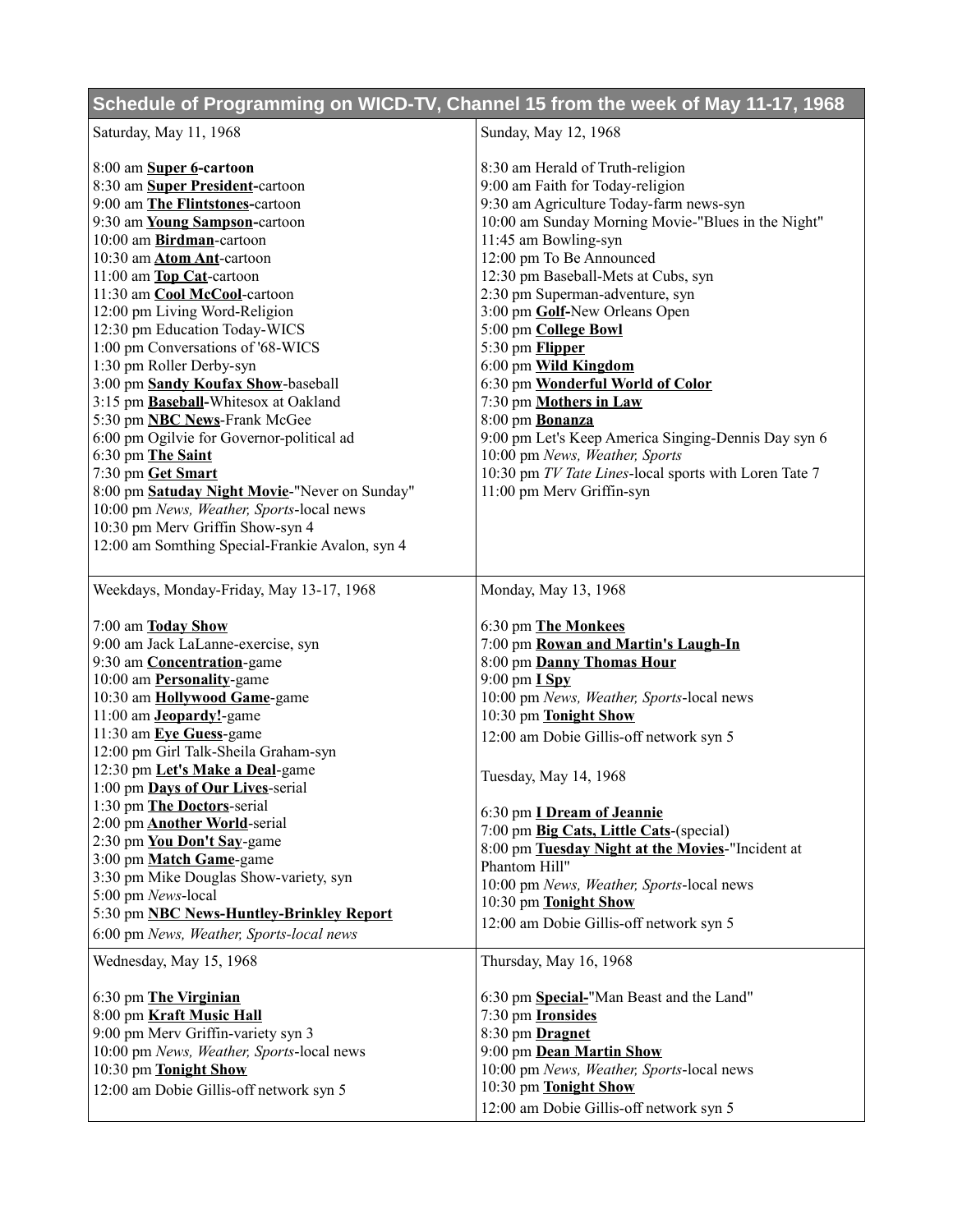## **Schedule of Programming on WICD-TV, Channel 15 from the week of May 11-17, 1968**

| Saturday, May 11, 1968                                                               | Sunday, May 12, 1968                                             |
|--------------------------------------------------------------------------------------|------------------------------------------------------------------|
| 8:00 am Super 6-cartoon                                                              | 8:30 am Herald of Truth-religion                                 |
| 8:30 am Super President-cartoon                                                      | 9:00 am Faith for Today-religion                                 |
| 9:00 am The Flintstones-cartoon                                                      | 9:30 am Agriculture Today-farm news-syn                          |
| 9:30 am Young Sampson-cartoon                                                        | 10:00 am Sunday Morning Movie-"Blues in the Night"               |
|                                                                                      |                                                                  |
| 10:00 am Birdman-cartoon                                                             | 11:45 am Bowling-syn                                             |
| 10:30 am Atom Ant-cartoon                                                            | 12:00 pm To Be Announced                                         |
| 11:00 am Top Cat-cartoon                                                             | 12:30 pm Baseball-Mets at Cubs, syn                              |
| 11:30 am Cool McCool-cartoon                                                         | 2:30 pm Superman-adventure, syn                                  |
| 12:00 pm Living Word-Religion                                                        | 3:00 pm Golf-New Orleans Open                                    |
| 12:30 pm Education Today-WICS                                                        | 5:00 pm College Bowl                                             |
| 1:00 pm Conversations of '68-WICS                                                    | 5:30 pm <b>Flipper</b>                                           |
| 1:30 pm Roller Derby-syn                                                             | 6:00 pm Wild Kingdom                                             |
| 3:00 pm Sandy Koufax Show-baseball                                                   | 6:30 pm Wonderful World of Color                                 |
| 3:15 pm Baseball-Whitesox at Oakland                                                 | 7:30 pm Mothers in Law                                           |
| 5:30 pm <b>NBC News</b> -Frank McGee                                                 | 8:00 pm Bonanza                                                  |
| 6:00 pm Ogilvie for Governor-political ad                                            | 9:00 pm Let's Keep America Singing-Dennis Day syn 6              |
| 6:30 pm The Saint                                                                    | 10:00 pm News, Weather, Sports                                   |
| 7:30 pm Get Smart                                                                    | 10:30 pm TV Tate Lines-local sports with Loren Tate 7            |
| 8:00 pm Satuday Night Movie-"Never on Sunday"                                        | 11:00 pm Merv Griffin-syn                                        |
| 10:00 pm News, Weather, Sports-local news                                            |                                                                  |
| 10:30 pm Merv Griffin Show-syn 4                                                     |                                                                  |
| 12:00 am Somthing Special-Frankie Avalon, syn 4                                      |                                                                  |
| Weekdays, Monday-Friday, May 13-17, 1968                                             | Monday, May 13, 1968                                             |
| 7:00 am Today Show                                                                   | 6:30 pm The Monkees                                              |
| 9:00 am Jack LaLanne-exercise, syn                                                   | 7:00 pm Rowan and Martin's Laugh-In                              |
| 9:30 am <b>Concentration</b> -game                                                   | 8:00 pm Danny Thomas Hour                                        |
|                                                                                      |                                                                  |
|                                                                                      |                                                                  |
| 10:00 am <b>Personality</b> -game                                                    | $9:00$ pm $I$ Spy                                                |
| 10:30 am Hollywood Game-game                                                         | 10:00 pm News, Weather, Sports-local news                        |
| 11:00 am <b>Jeopardy!</b> -game                                                      | 10:30 pm Tonight Show                                            |
| 11:30 am Eye Guess-game                                                              | 12:00 am Dobie Gillis-off network syn 5                          |
| 12:00 pm Girl Talk-Sheila Graham-syn                                                 |                                                                  |
| 12:30 pm Let's Make a Deal-game                                                      | Tuesday, May 14, 1968                                            |
| 1:00 pm Days of Our Lives-serial                                                     |                                                                  |
| 1:30 pm The Doctors-serial<br>2:00 pm <b>Another World</b> -serial                   | 6:30 pm <i>I Dream of Jeannie</i>                                |
|                                                                                      | 7:00 pm Big Cats, Little Cats-(special)                          |
| 2:30 pm You Don't Say-game<br>3:00 pm Match Game-game                                | 8:00 pm Tuesday Night at the Movies-"Incident at                 |
|                                                                                      | Phantom Hill"                                                    |
| 3:30 pm Mike Douglas Show-variety, syn                                               | 10:00 pm News, Weather, Sports-local news                        |
| 5:00 pm News-local                                                                   | 10:30 pm Tonight Show                                            |
| 5:30 pm NBC News-Huntley-Brinkley Report<br>6:00 pm News, Weather, Sports-local news | 12:00 am Dobie Gillis-off network syn 5                          |
| Wednesday, May 15, 1968                                                              | Thursday, May 16, 1968                                           |
|                                                                                      |                                                                  |
| 6:30 pm The Virginian                                                                | 6:30 pm Special-"Man Beast and the Land"                         |
| 8:00 pm Kraft Music Hall                                                             | 7:30 pm <b>Ironsides</b>                                         |
| 9:00 pm Merv Griffin-variety syn 3                                                   | 8:30 pm Dragnet                                                  |
| 10:00 pm News, Weather, Sports-local news                                            | 9:00 pm Dean Martin Show                                         |
| 10:30 pm Tonight Show                                                                | 10:00 pm News, Weather, Sports-local news                        |
| 12:00 am Dobie Gillis-off network syn 5                                              | 10:30 pm Tonight Show<br>12:00 am Dobie Gillis-off network syn 5 |